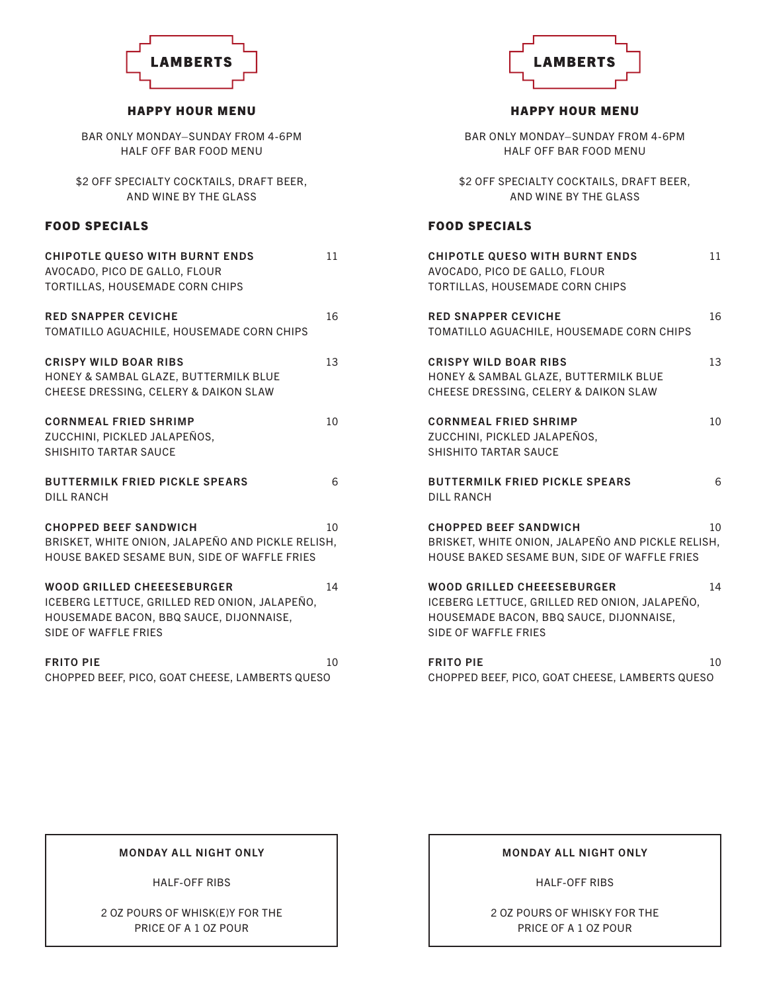

### HAPPY HOUR MENU

BAR ONLY MONDAY–SUNDAY FROM 4-6PM HALF OFF BAR FOOD MENU

\$2 OFF SPECIALTY COCKTAILS, DRAFT BEER, AND WINE BY THE GLASS

### FOOD SPECIALS

| <b>CHIPOTLE QUESO WITH BURNT ENDS</b><br>AVOCADO, PICO DE GALLO, FLOUR<br>TORTILLAS, HOUSEMADE CORN CHIPS                                             | 11 |
|-------------------------------------------------------------------------------------------------------------------------------------------------------|----|
| <b>RED SNAPPER CEVICHE</b><br>TOMATILLO AGUACHILE, HOUSEMADE CORN CHIPS                                                                               | 16 |
| <b>CRISPY WILD BOAR RIBS</b><br>HONEY & SAMBAL GLAZE, BUTTERMILK BLUE<br>CHEESE DRESSING, CELERY & DAIKON SLAW                                        | 13 |
| <b>CORNMEAL FRIED SHRIMP</b><br>ZUCCHINI, PICKLED JALAPEÑOS,<br>SHISHITO TARTAR SAUCE                                                                 | 10 |
| <b>BUTTERMILK FRIED PICKLE SPEARS</b><br><b>DILL RANCH</b>                                                                                            | 6  |
| <b>CHOPPED BEEF SANDWICH</b><br>BRISKET, WHITE ONION, JALAPEÑO AND PICKLE RELISH,<br>HOUSE BAKED SESAME BUN, SIDE OF WAFFLE FRIES                     | 10 |
| <b>WOOD GRILLED CHEEESEBURGER</b><br>ICEBERG LETTUCE, GRILLED RED ONION, JALAPEÑO,<br>HOUSEMADE BACON, BBQ SAUCE, DIJONNAISE,<br>SIDE OF WAFFLE FRIES | 14 |
| <b>FRITO PIE</b><br>CHOPPED BEEF, PICO, GOAT CHEESE, LAMBERTS QUESO                                                                                   | 10 |

### MONDAY ALL NIGHT ONLY

HALF-OFF RIBS

2 OZ POURS OF WHISK(E)Y FOR THE PRICE OF A 1 OZ POUR